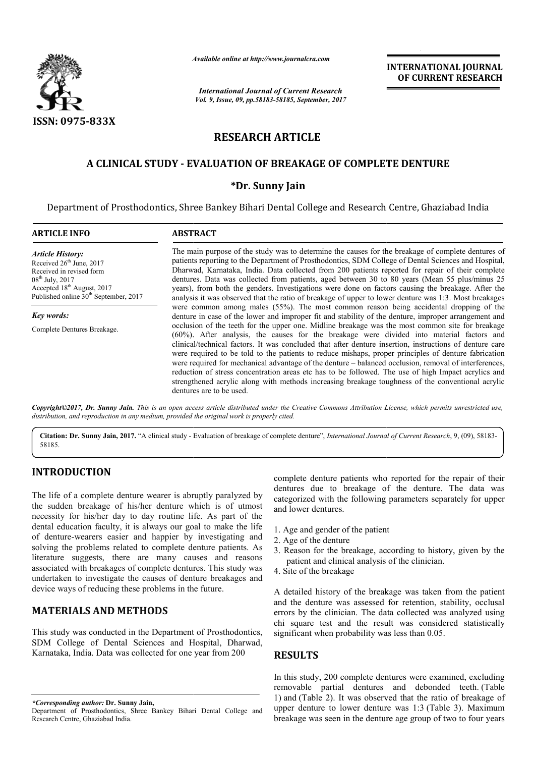

*Available online at http://www.journal http://www.journalcra.com*

# **RESEARCH ARTICLE**

## **A CLINICAL STUDY - EVALUATION OF BREAKAGE OF COMPLETE DENTURE COMPLETE DENTURE**

### **\*Dr. Sunny Jain**

|                                                                                                                                                                                                                                                                                                                                                                                                                                                                                                                                                                                                                                                                                                                                                                                                                                                                               | лтините опине иг пир.// www.journuicru.com                                                                                                                                                                                                                                                                                                                                                                                                                                                                                                                                                                                                                                                                                                                                                                                                                                                                                                                                                                                                                                                                                                                                                                                                                                                                                                                                                                                                                                                                                                                                                              | <b>International Journal of Current Research</b>                                                                                                                                                                                                                  | <b>INTERNATIONAL JOURNAL</b><br>OF CURRENT RESEARCH                                                                                                                                                                                                                                                                       |
|-------------------------------------------------------------------------------------------------------------------------------------------------------------------------------------------------------------------------------------------------------------------------------------------------------------------------------------------------------------------------------------------------------------------------------------------------------------------------------------------------------------------------------------------------------------------------------------------------------------------------------------------------------------------------------------------------------------------------------------------------------------------------------------------------------------------------------------------------------------------------------|---------------------------------------------------------------------------------------------------------------------------------------------------------------------------------------------------------------------------------------------------------------------------------------------------------------------------------------------------------------------------------------------------------------------------------------------------------------------------------------------------------------------------------------------------------------------------------------------------------------------------------------------------------------------------------------------------------------------------------------------------------------------------------------------------------------------------------------------------------------------------------------------------------------------------------------------------------------------------------------------------------------------------------------------------------------------------------------------------------------------------------------------------------------------------------------------------------------------------------------------------------------------------------------------------------------------------------------------------------------------------------------------------------------------------------------------------------------------------------------------------------------------------------------------------------------------------------------------------------|-------------------------------------------------------------------------------------------------------------------------------------------------------------------------------------------------------------------------------------------------------------------|---------------------------------------------------------------------------------------------------------------------------------------------------------------------------------------------------------------------------------------------------------------------------------------------------------------------------|
|                                                                                                                                                                                                                                                                                                                                                                                                                                                                                                                                                                                                                                                                                                                                                                                                                                                                               |                                                                                                                                                                                                                                                                                                                                                                                                                                                                                                                                                                                                                                                                                                                                                                                                                                                                                                                                                                                                                                                                                                                                                                                                                                                                                                                                                                                                                                                                                                                                                                                                         | Vol. 9, Issue, 09, pp.58183-58185, September, 2017                                                                                                                                                                                                                |                                                                                                                                                                                                                                                                                                                           |
| <b>ISSN: 0975-833X</b>                                                                                                                                                                                                                                                                                                                                                                                                                                                                                                                                                                                                                                                                                                                                                                                                                                                        | <b>RESEARCH ARTICLE</b>                                                                                                                                                                                                                                                                                                                                                                                                                                                                                                                                                                                                                                                                                                                                                                                                                                                                                                                                                                                                                                                                                                                                                                                                                                                                                                                                                                                                                                                                                                                                                                                 |                                                                                                                                                                                                                                                                   |                                                                                                                                                                                                                                                                                                                           |
|                                                                                                                                                                                                                                                                                                                                                                                                                                                                                                                                                                                                                                                                                                                                                                                                                                                                               |                                                                                                                                                                                                                                                                                                                                                                                                                                                                                                                                                                                                                                                                                                                                                                                                                                                                                                                                                                                                                                                                                                                                                                                                                                                                                                                                                                                                                                                                                                                                                                                                         |                                                                                                                                                                                                                                                                   |                                                                                                                                                                                                                                                                                                                           |
|                                                                                                                                                                                                                                                                                                                                                                                                                                                                                                                                                                                                                                                                                                                                                                                                                                                                               | A CLINICAL STUDY - EVALUATION OF BREAKAGE OF COMPLETE DENTURE                                                                                                                                                                                                                                                                                                                                                                                                                                                                                                                                                                                                                                                                                                                                                                                                                                                                                                                                                                                                                                                                                                                                                                                                                                                                                                                                                                                                                                                                                                                                           |                                                                                                                                                                                                                                                                   |                                                                                                                                                                                                                                                                                                                           |
|                                                                                                                                                                                                                                                                                                                                                                                                                                                                                                                                                                                                                                                                                                                                                                                                                                                                               | *Dr. Sunny Jain                                                                                                                                                                                                                                                                                                                                                                                                                                                                                                                                                                                                                                                                                                                                                                                                                                                                                                                                                                                                                                                                                                                                                                                                                                                                                                                                                                                                                                                                                                                                                                                         |                                                                                                                                                                                                                                                                   |                                                                                                                                                                                                                                                                                                                           |
|                                                                                                                                                                                                                                                                                                                                                                                                                                                                                                                                                                                                                                                                                                                                                                                                                                                                               |                                                                                                                                                                                                                                                                                                                                                                                                                                                                                                                                                                                                                                                                                                                                                                                                                                                                                                                                                                                                                                                                                                                                                                                                                                                                                                                                                                                                                                                                                                                                                                                                         |                                                                                                                                                                                                                                                                   | Department of Prosthodontics, Shree Bankey Bihari Dental College and Research Centre, Ghaziabad India                                                                                                                                                                                                                     |
| <b>ARTICLE INFO</b>                                                                                                                                                                                                                                                                                                                                                                                                                                                                                                                                                                                                                                                                                                                                                                                                                                                           | <b>ABSTRACT</b>                                                                                                                                                                                                                                                                                                                                                                                                                                                                                                                                                                                                                                                                                                                                                                                                                                                                                                                                                                                                                                                                                                                                                                                                                                                                                                                                                                                                                                                                                                                                                                                         |                                                                                                                                                                                                                                                                   |                                                                                                                                                                                                                                                                                                                           |
| <b>Article History:</b><br>Received 26 <sup>th</sup> June, 2017<br>Received in revised form<br>08 <sup>th</sup> July, 2017<br>Accepted 18 <sup>th</sup> August, 2017<br>Published online 30 <sup>th</sup> September, 2017                                                                                                                                                                                                                                                                                                                                                                                                                                                                                                                                                                                                                                                     | The main purpose of the study was to determine the causes for the breakage of complete dentures of<br>patients reporting to the Department of Prosthodontics, SDM College of Dental Sciences and Hospital,<br>Dharwad, Karnataka, India. Data collected from 200 patients reported for repair of their complete<br>dentures. Data was collected from patients, aged between 30 to 80 years (Mean 55 plus/minus 25<br>years), from both the genders. Investigations were done on factors causing the breakage. After the<br>analysis it was observed that the ratio of breakage of upper to lower denture was 1:3. Most breakages<br>were common among males (55%). The most common reason being accidental dropping of the<br>denture in case of the lower and improper fit and stability of the denture, improper arrangement and<br>occlusion of the teeth for the upper one. Midline breakage was the most common site for breakage<br>(60%). After analysis, the causes for the breakage were divided into material factors and<br>clinical/technical factors. It was concluded that after denture insertion, instructions of denture care<br>were required to be told to the patients to reduce mishaps, proper principles of denture fabrication<br>were required for mechanical advantage of the denture – balanced occlusion, removal of interferences,<br>reduction of stress concentration areas etc has to be followed. The use of high Impact acrylics and<br>strengthened acrylic along with methods increasing breakage toughness of the conventional acrylic<br>dentures are to be used. |                                                                                                                                                                                                                                                                   |                                                                                                                                                                                                                                                                                                                           |
| <b>Key words:</b><br>Complete Dentures Breakage.                                                                                                                                                                                                                                                                                                                                                                                                                                                                                                                                                                                                                                                                                                                                                                                                                              |                                                                                                                                                                                                                                                                                                                                                                                                                                                                                                                                                                                                                                                                                                                                                                                                                                                                                                                                                                                                                                                                                                                                                                                                                                                                                                                                                                                                                                                                                                                                                                                                         |                                                                                                                                                                                                                                                                   |                                                                                                                                                                                                                                                                                                                           |
| distribution, and reproduction in any medium, provided the original work is properly cited.                                                                                                                                                                                                                                                                                                                                                                                                                                                                                                                                                                                                                                                                                                                                                                                   |                                                                                                                                                                                                                                                                                                                                                                                                                                                                                                                                                                                                                                                                                                                                                                                                                                                                                                                                                                                                                                                                                                                                                                                                                                                                                                                                                                                                                                                                                                                                                                                                         |                                                                                                                                                                                                                                                                   | Copyright@2017, Dr. Sunny Jain. This is an open access article distributed under the Creative Commons Attribution License, which permits unrestricted use,                                                                                                                                                                |
| 58185.                                                                                                                                                                                                                                                                                                                                                                                                                                                                                                                                                                                                                                                                                                                                                                                                                                                                        |                                                                                                                                                                                                                                                                                                                                                                                                                                                                                                                                                                                                                                                                                                                                                                                                                                                                                                                                                                                                                                                                                                                                                                                                                                                                                                                                                                                                                                                                                                                                                                                                         |                                                                                                                                                                                                                                                                   | Citation: Dr. Sunny Jain, 2017. "A clinical study - Evaluation of breakage of complete denture", International Journal of Current Research, 9, (09), 58183-                                                                                                                                                               |
| <b>INTRODUCTION</b>                                                                                                                                                                                                                                                                                                                                                                                                                                                                                                                                                                                                                                                                                                                                                                                                                                                           |                                                                                                                                                                                                                                                                                                                                                                                                                                                                                                                                                                                                                                                                                                                                                                                                                                                                                                                                                                                                                                                                                                                                                                                                                                                                                                                                                                                                                                                                                                                                                                                                         |                                                                                                                                                                                                                                                                   | complete denture patients who reported for the repair of their                                                                                                                                                                                                                                                            |
| The life of a complete denture wearer is abruptly paralyzed by<br>the sudden breakage of his/her denture which is of utmost<br>necessity for his/her day to day routine life. As part of the<br>dental education faculty, it is always our goal to make the life<br>of denture-wearers easier and happier by investigating and<br>solving the problems related to complete denture patients. As<br>literature suggests, there are many causes and reasons<br>associated with breakages of complete dentures. This study was<br>undertaken to investigate the causes of denture breakages and<br>device ways of reducing these problems in the future.<br><b>MATERIALS AND METHODS</b><br>This study was conducted in the Department of Prosthodontics,<br>SDM College of Dental Sciences and Hospital, Dharwad,<br>Karnataka, India. Data was collected for one year from 200 |                                                                                                                                                                                                                                                                                                                                                                                                                                                                                                                                                                                                                                                                                                                                                                                                                                                                                                                                                                                                                                                                                                                                                                                                                                                                                                                                                                                                                                                                                                                                                                                                         | and lower dentures.                                                                                                                                                                                                                                               | dentures due to breakage of the denture. The data was<br>categorized with the following parameters separately for upper                                                                                                                                                                                                   |
|                                                                                                                                                                                                                                                                                                                                                                                                                                                                                                                                                                                                                                                                                                                                                                                                                                                                               |                                                                                                                                                                                                                                                                                                                                                                                                                                                                                                                                                                                                                                                                                                                                                                                                                                                                                                                                                                                                                                                                                                                                                                                                                                                                                                                                                                                                                                                                                                                                                                                                         | 1. Age and gender of the patient<br>2. Age of the denture<br>patient and clinical analysis of the clinician.<br>4. Site of the breakage                                                                                                                           | 3. Reason for the breakage, according to history, given by the                                                                                                                                                                                                                                                            |
|                                                                                                                                                                                                                                                                                                                                                                                                                                                                                                                                                                                                                                                                                                                                                                                                                                                                               |                                                                                                                                                                                                                                                                                                                                                                                                                                                                                                                                                                                                                                                                                                                                                                                                                                                                                                                                                                                                                                                                                                                                                                                                                                                                                                                                                                                                                                                                                                                                                                                                         | A detailed history of the breakage was taken from the patient<br>and the denture was assessed for retention, stability, occlusal<br>errors by the clinician. The data collected was analyzed using<br>chi square test and the result was considered statistically |                                                                                                                                                                                                                                                                                                                           |
|                                                                                                                                                                                                                                                                                                                                                                                                                                                                                                                                                                                                                                                                                                                                                                                                                                                                               |                                                                                                                                                                                                                                                                                                                                                                                                                                                                                                                                                                                                                                                                                                                                                                                                                                                                                                                                                                                                                                                                                                                                                                                                                                                                                                                                                                                                                                                                                                                                                                                                         | significant when probability was less than 0.05.<br><b>RESULTS</b>                                                                                                                                                                                                |                                                                                                                                                                                                                                                                                                                           |
| *Corresponding author: Dr. Sunny Jain,<br>Department of Prosthodontics, Shree Bankey Bihari Dental College and<br>Research Centre, Ghaziabad India.                                                                                                                                                                                                                                                                                                                                                                                                                                                                                                                                                                                                                                                                                                                           |                                                                                                                                                                                                                                                                                                                                                                                                                                                                                                                                                                                                                                                                                                                                                                                                                                                                                                                                                                                                                                                                                                                                                                                                                                                                                                                                                                                                                                                                                                                                                                                                         |                                                                                                                                                                                                                                                                   | In this study, 200 complete dentures were examined, excluding<br>removable partial dentures and debonded teeth. (Table<br>1) and (Table 2). It was observed that the ratio of breakage of<br>upper denture to lower denture was 1:3 (Table 3). Maximum<br>breakage was seen in the denture age group of two to four years |

## **INTRODUCTION**

## **MATERIALS AND METHODS**

- 1. Age and gender of the patient
- 2. Age of the denture
- 3. Reason for the breakage, according to history, given by the patient and clinical analysis of the clinician. gender of the patient<br>the denture<br>for the breakage, according to history, given by the<br>and clinical analysis of the clinician.
- 4. Site of the breakage

### **RESULTS**

Department of Prosthodontics, Shree Bankey Bihari Dental College and Research Centre, Ghaziabad India.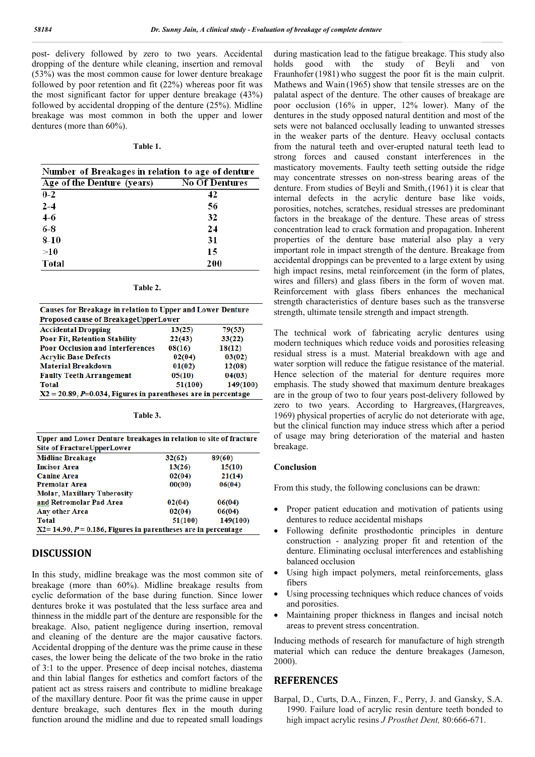post- delivery followed by zero to two years. Accidental dropping of the denture while cleaning, insertion and removal (53%) was the most common cause for lower denture breakage followed by poor retention and fit (22%) whereas poor fit was the most significant factor for upper denture breakage (43%) followed by accidental dropping of the denture (25%). Midline breakage was most common in both the upper and lower dentures (more than 60%).

#### **Table 1.**

| Number of Breakages in relation to age of denture |                       |  |
|---------------------------------------------------|-----------------------|--|
| Age of the Denture (years)                        | <b>No Of Dentures</b> |  |
| $0 - 2$                                           | 42                    |  |
| $2 - 4$                                           | 56                    |  |
| $4-6$                                             | 32                    |  |
| $6-8$                                             | 24                    |  |
| $8 - 10$                                          | 31                    |  |
| >10                                               | 15                    |  |
| Total                                             | 200                   |  |

| ahl<br>ı۴ |
|-----------|
|-----------|

| Causes for Breakage in relation to Upper and Lower Denture          |         |          |
|---------------------------------------------------------------------|---------|----------|
| Proposed cause of BreakageUpperLower                                |         |          |
| <b>Accidental Dropping</b>                                          | 13(25)  | 79(53)   |
| <b>Poor Fit, Retention Stability</b>                                | 22(43)  | 33(22)   |
| <b>Poor Occlusion and Interferences</b>                             | 08(16)  | 18(12)   |
| <b>Acrylic Base Defects</b>                                         | 02(04)  | 03(02)   |
| <b>Material Breakdown</b>                                           | 01(02)  | 12(08)   |
| <b>Faulty Teeth Arrangement</b>                                     | 05(10)  | 04(03)   |
| <b>Total</b>                                                        | 51(100) | 149(100) |
| $X2 = 20.89$ , $P=0.034$ , Figures in parentheses are in percentage |         |          |

| l'able |  |  |  |
|--------|--|--|--|
|--------|--|--|--|

| Upper and Lower Denture breakages in relation to site of fracture     |         |          |  |  |
|-----------------------------------------------------------------------|---------|----------|--|--|
| <b>Site of FractureUpperLower</b>                                     |         |          |  |  |
| <b>Midline Breakage</b>                                               | 32(62)  | 89(60)   |  |  |
| <b>Incisor Area</b>                                                   | 13(26)  | 15(10)   |  |  |
| <b>Canine Area</b>                                                    | 02(04)  | 21(14)   |  |  |
| <b>Premolar Area</b>                                                  | 00(00)  | 06(04)   |  |  |
| <b>Molar, Maxillary Tuberosity</b>                                    |         |          |  |  |
| and Retromolar Pad Area                                               | 02(04)  | 06(04)   |  |  |
| <b>Any other Area</b>                                                 | 02(04)  | 06(04)   |  |  |
| <b>Total</b>                                                          | 51(100) | 149(100) |  |  |
| $X2 = 14.90$ , $P = 0.186$ , Figures in parentheses are in percentage |         |          |  |  |

### **DISCUSSION**

In this study, midline breakage was the most common site of breakage (more than 60%). Midline breakage results from cyclic deformation of the base during function. Since lower dentures broke it was postulated that the less surface area and thinness in the middle part of the denture are responsible for the breakage. Also, patient negligence during insertion, removal and cleaning of the denture are the major causative factors. Accidental dropping of the denture was the prime cause in these cases, the lower being the delicate of the two broke in the ratio of 3:1 to the upper. Presence of deep incisal notches, diastema and thin labial flanges for esthetics and comfort factors of the patient act as stress raisers and contribute to midline breakage of the maxillary denture. Poor fit was the prime cause in upper denture breakage, such dentures flex in the mouth during function around the midline and due to repeated small loadings

during mastication lead to the fatigue breakage. This study also holds good with the study of Beyli and von Fraunhofer (1981) who suggest the poor fit is the main culprit. Mathews and Wain (1965) show that tensile stresses are on the palatal aspect of the denture. The other causes of breakage are poor occlusion (16% in upper, 12% lower). Many of the dentures in the study opposed natural dentition and most of the sets were not balanced occlusally leading to unwanted stresses in the weaker parts of the denture. Heavy occlusal contacts from the natural teeth and over-erupted natural teeth lead to strong forces and caused constant interferences in the masticatory movements. Faulty teeth setting outside the ridge may concentrate stresses on non-stress bearing areas of the denture. From studies of Beyli and Smith,(1961) it is clear that internal defects in the acrylic denture base like voids, porosities, notches, scratches, residual stresses are predominant factors in the breakage of the denture. These areas of stress concentration lead to crack formation and propagation. Inherent properties of the denture base material also play a very important role in impact strength of the denture. Breakage from accidental droppings can be prevented to a large extent by using high impact resins, metal reinforcement (in the form of plates, wires and fillers) and glass fibers in the form of woven mat. Reinforcement with glass fibers enhances the mechanical strength characteristics of denture bases such as the transverse strength, ultimate tensile strength and impact strength.

The technical work of fabricating acrylic dentures using modern techniques which reduce voids and porosities releasing residual stress is a must. Material breakdown with age and water sorption will reduce the fatigue resistance of the material. Hence selection of the material for denture requires more emphasis. The study showed that maximum denture breakages are in the group of two to four years post-delivery followed by zero to two years. According to Hargreaves, (Hargreaves, 1969) physical properties of acrylic do not deteriorate with age, but the clinical function may induce stress which after a period of usage may bring deterioration of the material and hasten breakage.

#### **Conclusion**

From this study, the following conclusions can be drawn:

- Proper patient education and motivation of patients using dentures to reduce accidental mishaps
- Following definite prosthodontic principles in denture construction - analyzing proper fit and retention of the denture. Eliminating occlusal interferences and establishing balanced occlusion
- Using high impact polymers, metal reinforcements, glass fibers
- Using processing techniques which reduce chances of voids and porosities.
- Maintaining proper thickness in flanges and incisal notch areas to prevent stress concentration.

Inducing methods of research for manufacture of high strength material which can reduce the denture breakages (Jameson, 2000).

#### **REFERENCES**

Barpal, D., Curts, D.A., Finzen, F., Perry, J. and Gansky, S.A. 1990. Failure load of acrylic resin denture teeth bonded to high impact acrylic resins *J Prosthet Dent,* 80:666-671.